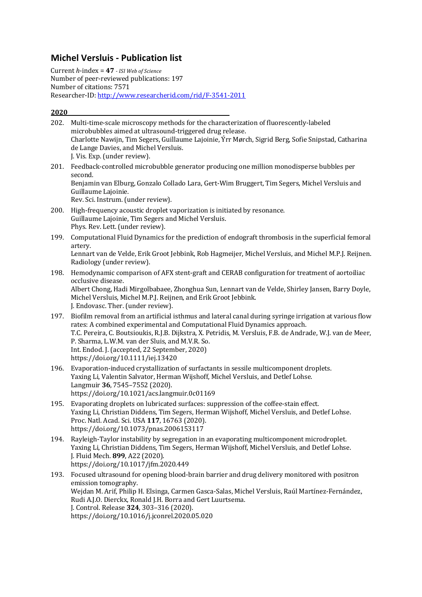# **Michel Versluis - Publication list**

Current *h*-index = **47** *- ISI Web of Science* Number of peer-reviewed publications: 197 Number of citations: 7571 Researcher-ID: http://www.researcherid.com/rid/F-3541-2011

|      | 202. Multi-time-scale microscopy methods for the characterization of fluorescently-labeled<br>microbubbles aimed at ultrasound-triggered drug release.<br>Charlotte Nawijn, Tim Segers, Guillaume Lajoinie, Ýrr Mørch, Sigrid Berg, Sofie Snipstad, Catharina<br>de Lange Davies, and Michel Versluis.<br>J. Vis. Exp. (under review).                                                                                                      |
|------|---------------------------------------------------------------------------------------------------------------------------------------------------------------------------------------------------------------------------------------------------------------------------------------------------------------------------------------------------------------------------------------------------------------------------------------------|
| 201. | Feedback-controlled microbubble generator producing one million monodisperse bubbles per<br>second.<br>Benjamin van Elburg, Gonzalo Collado Lara, Gert-Wim Bruggert, Tim Segers, Michel Versluis and<br>Guillaume Lajoinie.<br>Rev. Sci. Instrum. (under review).                                                                                                                                                                           |
| 200. | High-frequency acoustic droplet vaporization is initiated by resonance.<br>Guillaume Lajoinie, Tim Segers and Michel Versluis.<br>Phys. Rev. Lett. (under review).                                                                                                                                                                                                                                                                          |
| 199. | Computational Fluid Dynamics for the prediction of endograft thrombosis in the superficial femoral<br>artery.<br>Lennart van de Velde, Erik Groot Jebbink, Rob Hagmeijer, Michel Versluis, and Michel M.P.J. Reijnen.<br>Radiology (under review).                                                                                                                                                                                          |
| 198. | Hemodynamic comparison of AFX stent-graft and CERAB configuration for treatment of aortoiliac<br>occlusive disease.<br>Albert Chong, Hadi Mirgolbabaee, Zhonghua Sun, Lennart van de Velde, Shirley Jansen, Barry Doyle,<br>Michel Versluis, Michel M.P.J. Reijnen, and Erik Groot Jebbink.<br>J. Endovasc. Ther. (under review).                                                                                                           |
| 197. | Biofilm removal from an artificial isthmus and lateral canal during syringe irrigation at various flow<br>rates: A combined experimental and Computational Fluid Dynamics approach.<br>T.C. Pereira, C. Boutsioukis, R.J.B. Dijkstra, X. Petridis, M. Versluis, F.B. de Andrade, W.J. van de Meer,<br>P. Sharma, L.W.M. van der Sluis, and M.V.R. So.<br>Int. Endod. J. (accepted, 22 September, 2020)<br>https://doi.org/10.1111/iej.13420 |
| 196. | Evaporation-induced crystallization of surfactants in sessile multicomponent droplets.<br>Yaxing Li, Valentin Salvator, Herman Wijshoff, Michel Versluis, and Detlef Lohse.<br>Langmuir 36, 7545-7552 (2020).<br>https://doi.org/10.1021/acs.langmuir.0c01169                                                                                                                                                                               |
| 195. | Evaporating droplets on lubricated surfaces: suppression of the coffee-stain effect.<br>Yaxing Li, Christian Diddens, Tim Segers, Herman Wijshoff, Michel Versluis, and Detlef Lohse.<br>Proc. Natl. Acad. Sci. USA 117, 16763 (2020).<br>https://doi.org/10.1073/pnas.2006153117                                                                                                                                                           |
| 194. | Rayleigh-Taylor instability by segregation in an evaporating multicomponent microdroplet.<br>Yaxing Li, Christian Diddens, Tim Segers, Herman Wijshoff, Michel Versluis, and Detlef Lohse.<br>J. Fluid Mech. 899, A22 (2020).<br>https://doi.org/10.1017/jfm.2020.449                                                                                                                                                                       |
| 193. | Focused ultrasound for opening blood-brain barrier and drug delivery monitored with positron<br>emission tomography.<br>Wejdan M. Arif, Philip H. Elsinga, Carmen Gasca-Salas, Michel Versluis, Raúl Martínez-Fernández,<br>Rudi A.J.O. Dierckx, Ronald J.H. Borra and Gert Luurtsema.<br>J. Control. Release 324, 303-316 (2020).<br>https://doi.org/10.1016/j.jconrel.2020.05.020                                                         |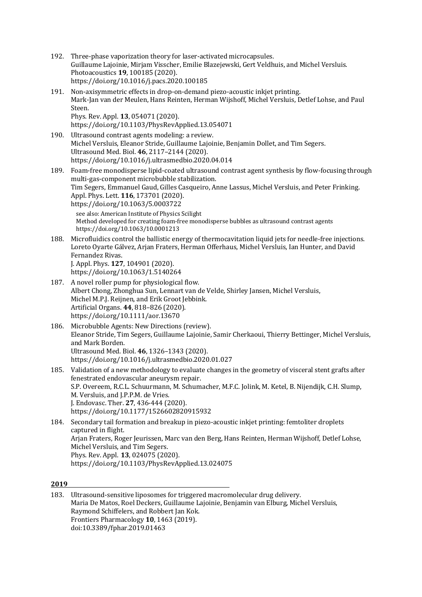- 192. Three-phase vaporization theory for laser-activated microcapsules. Guillaume Lajoinie, Mirjam Visscher, Emilie Blazejewski, Gert Veldhuis, and Michel Versluis. Photoacoustics **19**, 100185 (2020). https://doi.org/10.1016/j.pacs.2020.100185
- 191. Non-axisymmetric effects in drop-on-demand piezo-acoustic inkiet printing. Mark-Jan van der Meulen, Hans Reinten, Herman Wijshoff, Michel Versluis, Detlef Lohse, and Paul Steen. Phys. Rev. Appl. **13**, 054071 (2020). https://doi.org/10.1103/PhysRevApplied.13.054071
- 190. Ultrasound contrast agents modeling: a review. Michel Versluis, Eleanor Stride, Guillaume Lajoinie, Benjamin Dollet, and Tim Segers. Ultrasound Med. Biol. **46**, 2117-2144 (2020). https://doi.org/10.1016/j.ultrasmedbio.2020.04.014
- 189. Foam-free monodisperse lipid-coated ultrasound contrast agent synthesis by flow-focusing through multi-gas-component microbubble stabilization. Tim Segers, Emmanuel Gaud, Gilles Casqueiro, Anne Lassus, Michel Versluis, and Peter Frinking. Appl. Phys. Lett. **116**, 173701 (2020). https://doi.org/10.1063/5.0003722

see also: American Institute of Physics Scilight Method developed for creating foam-free monodisperse bubbles as ultrasound contrast agents https://doi.org/10.1063/10.0001213

- 188. Microfluidics control the ballistic energy of thermocavitation liquid iets for needle-free injections. Loreto Ovarte Gálvez, Arian Fraters, Herman Offerhaus, Michel Versluis, Ian Hunter, and David Fernandez Rivas. J. Appl. Phys. **127**, 104901 (2020). https://doi.org/10.1063/1.5140264
- 187. A novel roller pump for physiological flow. Albert Chong, Zhonghua Sun, Lennart van de Velde, Shirley Jansen, Michel Versluis, Michel M.P.J. Reijnen, and Erik Groot Jebbink. Artificial Organs. **44**, 818–826 (2020). https://doi.org/10.1111/aor.13670
- 186. Microbubble Agents: New Directions (review). Eleanor Stride, Tim Segers, Guillaume Lajoinie, Samir Cherkaoui, Thierry Bettinger, Michel Versluis, and Mark Borden. Ultrasound Med. Biol. **46**, 1326–1343 (2020). https://doi.org/10.1016/j.ultrasmedbio.2020.01.027
- 185. Validation of a new methodology to evaluate changes in the geometry of visceral stent grafts after fenestrated endovascular aneurysm repair. S.P. Overeem, R.C.L. Schuurmann, M. Schumacher, M.F.C. Jolink, M. Ketel, B. Nijendijk, C.H. Slump, M. Versluis, and J.P.P.M. de Vries. J. Endovasc. Ther. **27**, 436-444 (2020). https://doi.org/10.1177/1526602820915932

184. Secondary tail formation and breakup in piezo-acoustic inkjet printing: femtoliter droplets captured in flight. Arjan Fraters, Roger Jeurissen, Marc van den Berg, Hans Reinten, Herman Wijshoff, Detlef Lohse, Michel Versluis, and Tim Segers. Phys. Rev. Appl. **13**, 024075 (2020). https://doi.org/10.1103/PhysRevApplied.13.024075

**2019**

183. Ultrasound-sensitive liposomes for triggered macromolecular drug delivery. Maria De Matos, Roel Deckers, Guillaume Lajoinie, Benjamin van Elburg, Michel Versluis, Raymond Schiffelers, and Robbert Ian Kok. Frontiers Pharmacology **10**, 1463 (2019). doi:10.3389/fphar.2019.01463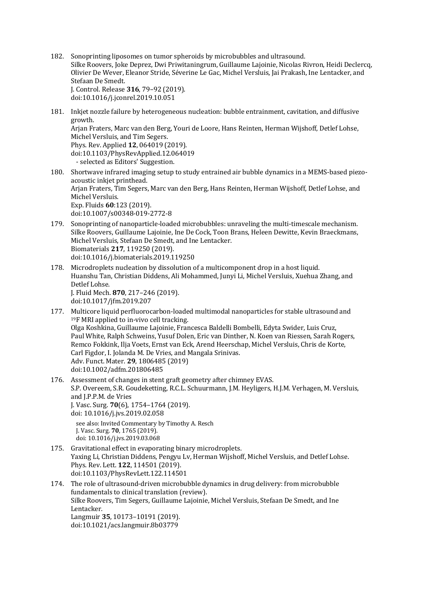- 182. Sonoprinting liposomes on tumor spheroids by microbubbles and ultrasound. Silke Roovers, Joke Deprez, Dwi Priwitaningrum, Guillaume Lajoinie, Nicolas Rivron, Heidi Declercq, Olivier De Wever, Eleanor Stride, Séverine Le Gac, Michel Versluis, Jai Prakash, Ine Lentacker, and Stefaan De Smedt. J. Control. Release **316**, 79–92 (2019). doi:10.1016/j.jconrel.2019.10.051
- 181. Inkjet nozzle failure by heterogeneous nucleation: bubble entrainment, cavitation, and diffusive growth. Arjan Fraters, Marc van den Berg, Youri de Loore, Hans Reinten, Herman Wijshoff, Detlef Lohse, Michel Versluis, and Tim Segers. Phys. Rev. Applied **12**, 064019 (2019). doi:10.1103/PhysRevApplied.12.064019 - selected as Editors' Suggestion.
- 180. Shortwave infrared imaging setup to study entrained air bubble dynamics in a MEMS-based piezoacoustic inkjet printhead. Arjan Fraters, Tim Segers, Marc van den Berg, Hans Reinten, Herman Wijshoff, Detlef Lohse, and Michel Versluis. Exp. Fluids **60**:123 (2019). doi:10.1007/s00348-019-2772-8
- 179. Sonoprinting of nanoparticle-loaded microbubbles: unraveling the multi-timescale mechanism. Silke Roovers, Guillaume Lajoinie, Ine De Cock, Toon Brans, Heleen Dewitte, Kevin Braeckmans, Michel Versluis, Stefaan De Smedt, and Ine Lentacker. Biomaterials **217**, 119250 (2019). doi:10.1016/j.biomaterials.2019.119250
- 178. Microdroplets nucleation by dissolution of a multicomponent drop in a host liquid. Huanshu Tan, Christian Diddens, Ali Mohammed, Junyi Li, Michel Versluis, Xuehua Zhang, and Detlef Lohse. J. Fluid Mech. **870**, 217–246 (2019). doi:10.1017/jfm.2019.207
- 177. Multicore liquid perfluorocarbon-loaded multimodal nanoparticles for stable ultrasound and  $19F$  MRI applied to in-vivo cell tracking. Olga Koshkina, Guillaume Lajoinie, Francesca Baldelli Bombelli, Edyta Swider, Luis Cruz, Paul White, Ralph Schweins, Yusuf Dolen, Eric van Dinther, N. Koen van Riessen, Sarah Rogers, Remco Fokkink, Ilja Voets, Ernst van Eck, Arend Heerschap, Michel Versluis, Chris de Korte, Carl Figdor, I. Jolanda M. De Vries, and Mangala Srinivas. Adv. Funct. Mater. **29**, 1806485 (2019) doi:10.1002/adfm.201806485
- 176. Assessment of changes in stent graft geometry after chimney EVAS. S.P. Overeem, S.R. Goudeketting, R.C.L. Schuurmann, J.M. Heyligers, H.J.M. Verhagen, M. Versluis, and J.P.P.M. de Vries J. Vasc. Surg. **70**(6), 1754–1764 (2019). doi: 10.1016/j.jvs.2019.02.058 see also: Invited Commentary by Timothy A. Resch

```
J.	Vasc.	Surg.	70, 1765	(2019).
doi:	10.1016/j.jvs.2019.03.068
```
- 175. Gravitational effect in evaporating binary microdroplets. Yaxing Li, Christian Diddens, Pengyu Lv, Herman Wijshoff, Michel Versluis, and Detlef Lohse. Phys. Rev. Lett. **122**, 114501 (2019). doi:10.1103/PhysRevLett.122.114501
- 174. The role of ultrasound-driven microbubble dynamics in drug delivery: from microbubble fundamentals to clinical translation (review). Silke Roovers, Tim Segers, Guillaume Lajoinie, Michel Versluis, Stefaan De Smedt, and Ine Lentacker. Langmuir **35**, 10173–10191 (2019). doi:10.1021/acs.langmuir.8b03779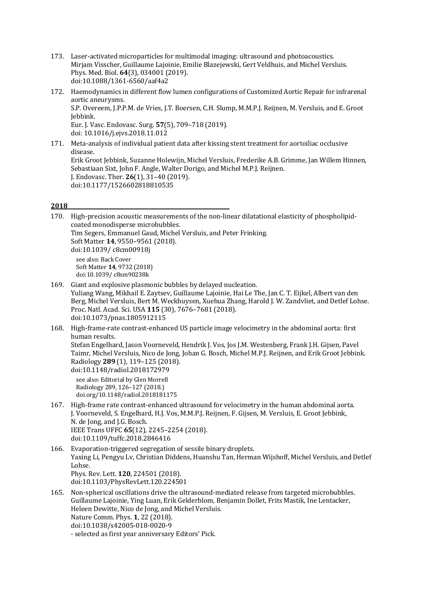- 173. Laser-activated microparticles for multimodal imaging: ultrasound and photoacoustics. Mirjam Visscher, Guillaume Lajoinie, Emilie Blazejewski, Gert Veldhuis, and Michel Versluis. Phys. Med. Biol. **64**(3), 034001 (2019). doi:10.1088/1361-6560/aaf4a2
- 172. Haemodynamics in different flow lumen configurations of Customized Aortic Repair for infrarenal aortic aneurysms. S.P. Overeem, J.P.P.M. de Vries, J.T. Boersen, C.H. Slump, M.M.P.J. Reijnen, M. Versluis, and E. Groot Jebbink. Eur. J. Vasc. Endovasc. Surg. **57**(5), 709–718 (2019). doi: 10.1016/j.ejvs.2018.11.012
- 171. Meta-analysis of individual patient data after kissing stent treatment for aortoiliac occlusive disease. Erik Groot Jebbink, Suzanne Holewijn, Michel Versluis, Frederike A.B. Grimme, Jan Willem Hinnen, Sebastiaan Sixt, John F. Angle, Walter Dorigo, and Michel M.P.J. Reijnen. J. Endovasc. Ther. **26**(1), 31–40 (2019). doi:10.1177/1526602818810535

| 170. | High-precision acoustic measurements of the non-linear dilatational elasticity of phospholipid-<br>coated monodisperse microbubbles.<br>Tim Segers, Emmanuel Gaud, Michel Versluis, and Peter Frinking.<br>Soft Matter 14, 9550-9561 (2018).<br>doi:10.1039/c8cm00918j                                                                                                                              |
|------|-----------------------------------------------------------------------------------------------------------------------------------------------------------------------------------------------------------------------------------------------------------------------------------------------------------------------------------------------------------------------------------------------------|
|      | see also: Back Cover<br>Soft Matter 14, 9732 (2018)<br>doi:10.1039/c8sm90238k                                                                                                                                                                                                                                                                                                                       |
| 169. | Giant and explosive plasmonic bubbles by delayed nucleation.<br>Yuliang Wang, Mikhail E. Zaytsev, Guillaume Lajoinie, Hai Le The, Jan C. T. Eijkel, Albert van den<br>Berg, Michel Versluis, Bert M. Weckhuysen, Xuehua Zhang, Harold J. W. Zandvliet, and Detlef Lohse.<br>Proc. Natl. Acad. Sci. USA 115 (30), 7676-7681 (2018).<br>doi:10.1073/pnas.1805912115                                   |
| 168. | High-frame-rate contrast-enhanced US particle image velocimetry in the abdominal aorta: first<br>human results.<br>Stefan Engelhard, Jason Voorneveld, Hendrik J. Vos, Jos J.M. Westenberg, Frank J.H. Gijsen, Pavel<br>Taimr, Michel Versluis, Nico de Jong, Johan G. Bosch, Michel M.P.J. Reijnen, and Erik Groot Jebbink.<br>Radiology 289 (1), 119-125 (2018).<br>doi:10.1148/radiol.2018172979 |
|      | see also: Editorial by Glen Morrell<br>Radiology 289, 126-127 (2018.)<br>doi.org/10.1148/radiol.2018181175                                                                                                                                                                                                                                                                                          |
| 167. | High-frame rate contrast-enhanced ultrasound for velocimetry in the human abdominal aorta.<br>J. Voorneveld, S. Engelhard, H.J. Vos, M.M.P.J. Reijnen, F. Gijsen, M. Versluis, E. Groot Jebbink,<br>N. de Jong, and J.G. Bosch.<br>IEEE Trans UFFC 65(12), 2245-2254 (2018).<br>doi:10.1109/tuffc.2018.2846416                                                                                      |
| 166. | Evaporation-triggered segregation of sessile binary droplets.<br>Yaxing Li, Pengyu Lv, Christian Diddens, Huanshu Tan, Herman Wijshoff, Michel Versluis, and Detlef<br>Lohse.<br>Phys. Rev. Lett. 120, 224501 (2018).<br>doi:10.1103/PhysRevLett.120.224501                                                                                                                                         |
| 165. | Non-spherical oscillations drive the ultrasound-mediated release from targeted microbubbles.<br>Guillaume Lajoinie, Ying Luan, Erik Gelderblom, Benjamin Dollet, Frits Mastik, Ine Lentacker,<br>Heleen Dewitte, Nico de Jong, and Michel Versluis.<br>Nature Comm. Phys. 1, 22 (2018).<br>doi:10.1038/s42005-018-0020-9<br>- selected as first year anniversary Editors' Pick.                     |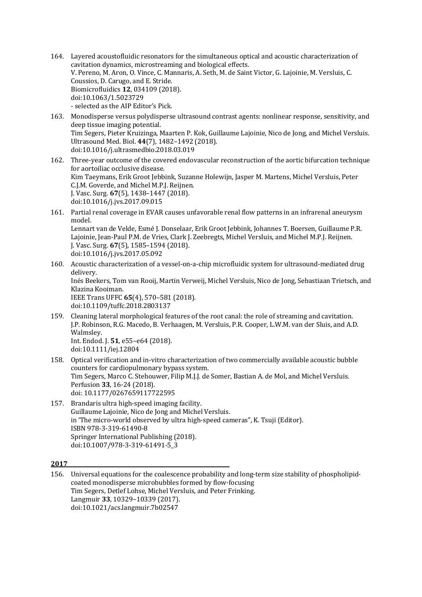- 164. Layered acoustofluidic resonators for the simultaneous optical and acoustic characterization of cavitation dynamics, microstreaming and biological effects. V. Pereno, M. Aron, O. Vince, C. Mannaris, A. Seth, M. de Saint Victor, G. Lajoinie, M. Versluis, C. Coussios, D. Carugo, and E. Stride. Biomicrofluidics **12**, 034109 (2018). doi:10.1063/1.5023729 - selected as the AIP Editor's Pick.
- 163. Monodisperse versus polydisperse ultrasound contrast agents: nonlinear response, sensitivity, and deep tissue imaging potential. Tim Segers, Pieter Kruizinga, Maarten P. Kok, Guillaume Lajoinie, Nico de Jong, and Michel Versluis. Ultrasound Med. Biol. **44**(7), 1482–1492 (2018). doi:10.1016/j.ultrasmedbio.2018.03.019
- 162. Three-year outcome of the covered endovascular reconstruction of the aortic bifurcation technique for aortoiliac occlusive disease. Kim Taeymans, Erik Groot Jebbink, Suzanne Holewijn, Jasper M. Martens, Michel Versluis, Peter C.I.M. Goverde, and Michel M.P.I. Reijnen. J. Vasc. Surg. 67(5), 1438-1447 (2018). doi:10.1016/j.jvs.2017.09.015
- 161. Partial renal coverage in EVAR causes unfavorable renal flow patterns in an infrarenal aneurysm model.

Lennart van de Velde, Esmé J. Donselaar, Erik Groot Jebbink, Johannes T. Boersen, Guillaume P.R. Lajoinie, Jean-Paul P.M. de Vries, Clark J. Zeebregts, Michel Versluis, and Michel M.P.J. Reijnen. J. Vasc. Surg. **67**(5), 1585–1594 (2018). doi:10.1016/j.jvs.2017.05.092

160. Acoustic characterization of a vessel-on-a-chip microfluidic system for ultrasound-mediated drug delivery.

Inés Beekers, Tom van Rooij, Martin Verweij, Michel Versluis, Nico de Jong, Sebastiaan Trietsch, and Klazina Kooiman.

IEEE Trans UFFC 65(4), 570-581 (2018). doi:10.1109/tuffc.2018.2803137

159. Cleaning lateral morphological features of the root canal: the role of streaming and cavitation. J.P. Robinson, R.G. Macedo, B. Verhaagen, M. Versluis, P.R. Cooper, L.W.M. van der Sluis, and A.D. Walmsley. Int. Endod. J. 51, e55-e64 (2018).

doi:10.1111/iej.12804

- 158. Optical verification and in-vitro characterization of two commercially available acoustic bubble counters for cardiopulmonary bypass system. Tim Segers, Marco C. Stehouwer, Filip M.J.J. de Somer, Bastian A. de Mol, and Michel Versluis. Perfusion **33**, 16-24 (2018). doi: 10.1177/0267659117722595
- 157. Brandaris ultra high-speed imaging facility. Guillaume Lajoinie, Nico de Jong and Michel Versluis. in 'The micro-world observed by ultra high-speed cameras", K. Tsuji (Editor). ISBN 978-3-319-61490-8 Springer International Publishing (2018). doi:10.1007/978-3-319-61491-5\_3

# **2017**

156. Universal equations for the coalescence probability and long-term size stability of phospholipidcoated monodisperse microbubbles formed by flow-focusing Tim Segers, Detlef Lohse, Michel Versluis, and Peter Frinking. Langmuir **33**, 10329–10339 (2017). doi:10.1021/acs.langmuir.7b02547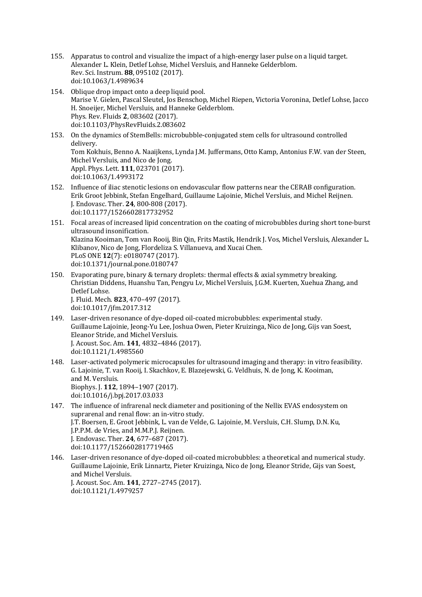- 155. Apparatus to control and visualize the impact of a high-energy laser pulse on a liquid target. Alexander L. Klein, Detlef Lohse, Michel Versluis, and Hanneke Gelderblom. Rev. Sci. Instrum. **88**, 095102 (2017). doi:10.1063/1.4989634
- 154. Oblique drop impact onto a deep liquid pool. Marise V. Gielen, Pascal Sleutel, Jos Benschop, Michel Riepen, Victoria Voronina, Detlef Lohse, Jacco H. Snoeijer, Michel Versluis, and Hanneke Gelderblom. Phys. Rev. Fluids **2**, 083602 (2017). doi:10.1103/PhysRevFluids.2.083602
- 153. On the dynamics of StemBells: microbubble-conjugated stem cells for ultrasound controlled delivery. Tom Kokhuis, Benno A. Naaijkens, Lynda J.M. Juffermans, Otto Kamp, Antonius F.W. van der Steen, Michel Versluis, and Nico de Jong. Appl. Phys. Lett. **111**, 023701 (2017). doi:10.1063/1.4993172
- 152. Influence of iliac stenotic lesions on endovascular flow patterns near the CERAB configuration. Erik Groot Jebbink, Stefan Engelhard, Guillaume Lajoinie, Michel Versluis, and Michel Reijnen. J. Endovasc. Ther. **24**, 800-808 (2017). doi:10.1177/1526602817732952
- 151. Focal areas of increased lipid concentration on the coating of microbubbles during short tone-burst ultrasound insonification. Klazina Kooiman, Tom van Rooij, Bin Qin, Frits Mastik, Hendrik J. Vos, Michel Versluis, Alexander L. Klibanov, Nico de Jong, Flordeliza S. Villanueva, and Xucai Chen. PLoS ONE **12**(7): e0180747 (2017). doi:10.1371/journal.pone.0180747
- 150. Evaporating pure, binary & ternary droplets: thermal effects & axial symmetry breaking. Christian Diddens, Huanshu Tan, Pengyu Lv, Michel Versluis, J.G.M. Kuerten, Xuehua Zhang, and Detlef Lohse. J. Fluid. Mech. **823**, 470–497 (2017). doi:10.1017/jfm.2017.312
- 149. Laser-driven resonance of dye-doped oil-coated microbubbles: experimental study. Guillaume Lajoinie, Jeong-Yu Lee, Joshua Owen, Pieter Kruizinga, Nico de Jong, Gijs van Soest, Eleanor Stride, and Michel Versluis. J. Acoust. Soc. Am. **141**, 4832–4846 (2017). doi:10.1121/1.4985560
- 148. Laser-activated polymeric microcapsules for ultrasound imaging and therapy: in vitro feasibility. G. Lajoinie, T. van Rooij, I. Skachkov, E. Blazejewski, G. Veldhuis, N. de Jong, K. Kooiman, and M. Versluis. Biophys. J. **112**, 1894–1907 (2017). doi:10.1016/j.bpj.2017.03.033
- 147. The influence of infrarenal neck diameter and positioning of the Nellix EVAS endosystem on suprarenal and renal flow: an in-vitro study. J.T. Boersen, E. Groot Jebbink, L. van de Velde, G. Lajoinie, M. Versluis, C.H. Slump, D.N. Ku, J.P.P.M. de Vries, and M.M.P.J. Reijnen. J. Endovasc. Ther. **24**, 677–687 (2017). doi:10.1177/1526602817719465
- 146. Laser-driven resonance of dve-doped oil-coated microbubbles: a theoretical and numerical study. Guillaume Lajoinie, Erik Linnartz, Pieter Kruizinga, Nico de Jong, Eleanor Stride, Gijs van Soest, and Michel Versluis. J. Acoust. Soc. Am. **141**, 2727–2745 (2017). doi:10.1121/1.4979257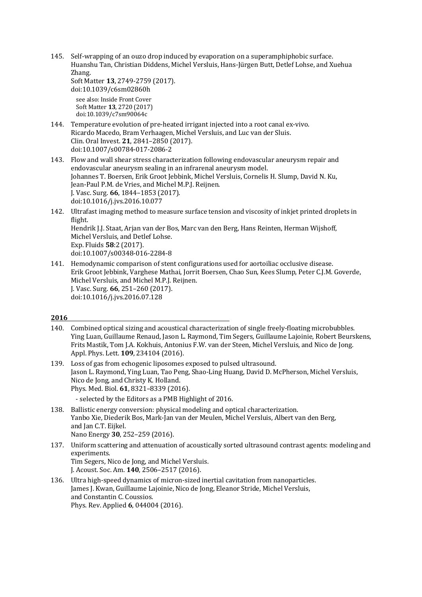145. Self-wrapping of an ouzo drop induced by evaporation on a superamphiphobic surface. Huanshu Tan, Christian Diddens, Michel Versluis, Hans-Jürgen Butt, Detlef Lohse, and Xuehua Zhang.

Soft Matter **13**, 2749-2759 (2017). doi:10.1039/c6sm02860h see also: Inside Front Cover Soft Matter **13**, 2720 (2017) doi:10.1039/c7sm90064c

- 144. Temperature evolution of pre-heated irrigant injected into a root canal ex-vivo. Ricardo Macedo, Bram Verhaagen, Michel Versluis, and Luc van der Sluis. Clin. Oral Invest. **21**, 2841–2850 (2017). doi:10.1007/s00784-017-2086-2
- 143. Flow and wall shear stress characterization following endovascular aneurysm repair and endovascular aneurysm sealing in an infrarenal aneurysm model. Johannes T. Boersen, Erik Groot Jebbink, Michel Versluis, Cornelis H. Slump, David N. Ku, Jean-Paul P.M. de Vries, and Michel M.P.J. Reijnen. J. Vasc. Surg. 66, 1844-1853 (2017). doi:10.1016/j.jvs.2016.10.077
- 142. Ultrafast imaging method to measure surface tension and viscosity of inkjet printed droplets in flight. Hendrik J.J. Staat, Arjan van der Bos, Marc van den Berg, Hans Reinten, Herman Wijshoff, Michel Versluis, and Detlef Lohse. Exp. Fluids **58**:2 (2017). doi:10.1007/s00348-016-2284-8
- 141. Hemodynamic comparison of stent configurations used for aortoiliac occlusive disease. Erik Groot Jebbink, Varghese Mathai, Jorrit Boersen, Chao Sun, Kees Slump, Peter C.J.M. Goverde, Michel Versluis, and Michel M.P.J. Reijnen. J. Vasc. Surg. **66**, 251–260 (2017). doi:10.1016/j.jvs.2016.07.128

- 140. Combined optical sizing and acoustical characterization of single freely-floating microbubbles. Ying Luan, Guillaume Renaud, Jason L. Raymond, Tim Segers, Guillaume Lajoinie, Robert Beurskens, Frits Mastik, Tom J.A. Kokhuis, Antonius F.W. van der Steen, Michel Versluis, and Nico de Jong. Appl. Phys. Lett. **109**, 234104 (2016).
- 139. Loss of gas from echogenic liposomes exposed to pulsed ultrasound. Jason L. Raymond, Ying Luan, Tao Peng, Shao-Ling Huang, David D. McPherson, Michel Versluis, Nico de Jong, and Christy K. Holland. Phys. Med. Biol. 61, 8321-8339 (2016). - selected by the Editors as a PMB Highlight of 2016.
- 138. Ballistic energy conversion: physical modeling and optical characterization. Yanbo Xie, Diederik Bos, Mark-Jan van der Meulen, Michel Versluis, Albert van den Berg, and Jan C.T. Eijkel. Nano Energy 30, 252-259 (2016).
- 137. Uniform scattering and attenuation of acoustically sorted ultrasound contrast agents: modeling and experiments. Tim Segers, Nico de Jong, and Michel Versluis. J. Acoust. Soc. Am. **140**, 2506–2517 (2016).
- 136. Ultra high-speed dynamics of micron-sized inertial cavitation from nanoparticles. James J. Kwan, Guillaume Lajoinie, Nico de Jong, Eleanor Stride, Michel Versluis, and Constantin C. Coussios. Phys. Rev. Applied **6**, 044004 (2016).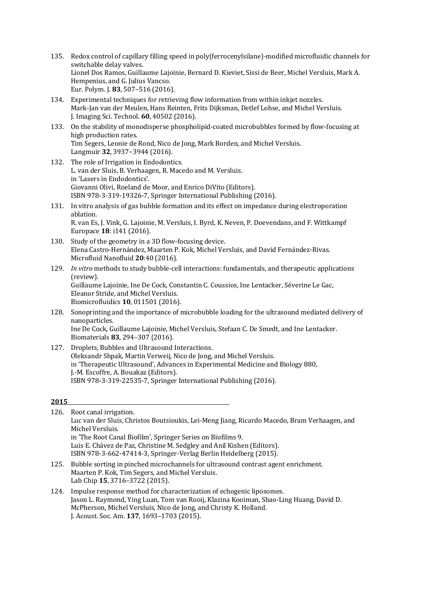- 135. Redox control of capillary filling speed in poly(ferrocenylsilane)-modified microfluidic channels for switchable delay valves. Lionel Dos Ramos, Guillaume Lajoinie, Bernard D. Kieviet, Sissi de Beer, Michel Versluis, Mark A. Hempenius, and G. Julius Vancso. Eur. Polym. J. **83**, 507–516 (2016).
- 134. Experimental techniques for retrieving flow information from within inkjet nozzles. Mark-Jan van der Meulen, Hans Reinten, Frits Dijksman, Detlef Lohse, and Michel Versluis. J. Imaging Sci. Technol. **60**, 40502 (2016).
- 133. On the stability of monodisperse phospholipid-coated microbubbles formed by flow-focusing at high production rates. Tim Segers, Leonie de Rond, Nico de Jong, Mark Borden, and Michel Versluis. Langmuir **32**, 3937−3944 (2016).
- 132. The role of Irrigation in Endodontics. L. van der Sluis, B. Verhaagen, R. Macedo and M. Versluis. in 'Lasers in Endodontics'. Giovanni Olivi, Roeland de Moor, and Enrico DiVito (Editors). ISBN 978-3-319-19326-7, Springer International Publishing (2016).
- 131. In vitro analysis of gas bubble formation and its effect on impedance during electroporation ablation. R. van Es, J. Vink, G. Lajoinie, M. Versluis, I. Byrd, K. Neven, P. Doevendans, and F. Wittkampf Europace **18**: i141 (2016).
- 130. Study of the geometry in a 3D flow-focusing device. Elena Castro-Hernández, Maarten P. Kok, Michel Versluis, and David Fernández-Rivas. Microfluid Nanofluid 20:40 (2016).
- 129. *In vitro* methods to study bubble-cell interactions: fundamentals, and therapeutic applications (review). Guillaume Lajoinie, Ine De Cock, Constantin C. Coussios, Ine Lentacker, Séverine Le Gac, Eleanor Stride, and Michel Versluis. Biomicrofluidics **10**, 011501 (2016).
- 128. Sonoprinting and the importance of microbubble loading for the ultrasound mediated delivery of nanoparticles. Ine De Cock, Guillaume Lajoinie, Michel Versluis, Stefaan C. De Smedt, and Ine Lentacker. Biomaterials **83**, 294–307 (2016).
- 127. Droplets, Bubbles and Ultrasound Interactions. Oleksandr Shpak, Martin Verweij, Nico de Jong, and Michel Versluis. in 'Therapeutic Ultrasound', Advances in Experimental Medicine and Biology 880, J.-M. Escoffre, A. Bouakaz (Editors). ISBN 978-3-319-22535-7, Springer International Publishing (2016).

|      | 126. Root canal irrigation.                                                                  |
|------|----------------------------------------------------------------------------------------------|
|      | Luc van der Sluis, Christos Boutsioukis, Lei-Meng Jiang, Ricardo Macedo, Bram Verhaagen, and |
|      | Michel Versluis.                                                                             |
|      | in 'The Root Canal Biofilm', Springer Series on Biofilms 9.                                  |
|      | Luis E. Chávez de Paz, Christine M. Sedgley and Anil Kishen (Editors).                       |
|      | ISBN 978-3-662-47414-3, Springer-Verlag Berlin Heidelberg (2015).                            |
| 125. | Bubble sorting in pinched microchannels for ultrasound contrast agent enrichment.            |
|      | Maarten P. Kok, Tim Segers, and Michel Versluis.                                             |
|      | Lab Chip 15, 3716-3722 (2015).                                                               |
|      |                                                                                              |

## 124. Impulse response method for characterization of echogenic liposomes. Jason L. Raymond, Ying Luan, Tom van Rooij, Klazina Kooiman, Shao-Ling Huang, David D. McPherson, Michel Versluis, Nico de Jong, and Christy K. Holland. J. Acoust. Soc. Am. **137**, 1693–1703 (2015).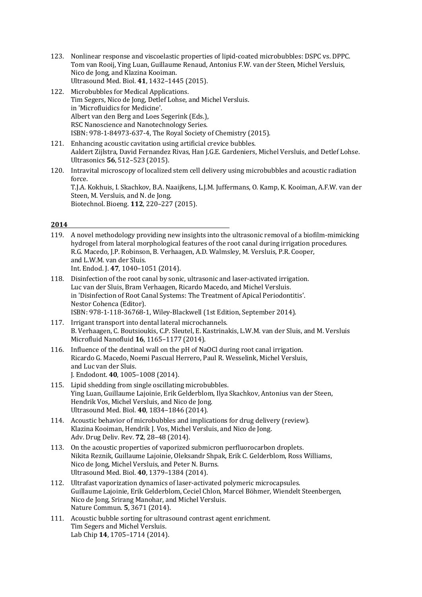- 123. Nonlinear response and viscoelastic properties of lipid-coated microbubbles: DSPC vs. DPPC. Tom van Rooij, Ying Luan, Guillaume Renaud, Antonius F.W. van der Steen, Michel Versluis, Nico de Jong, and Klazina Kooiman. Ultrasound Med. Biol. **41**, 1432–1445 (2015).
- 122. Microbubbles for Medical Applications. Tim Segers, Nico de Jong, Detlef Lohse, and Michel Versluis. in 'Microfluidics for Medicine'. Albert van den Berg and Loes Segerink (Eds.), RSC Nanoscience and Nanotechnology Series. ISBN: 978-1-84973-637-4, The Royal Society of Chemistry (2015).
- 121. Enhancing acoustic cavitation using artificial crevice bubbles. Aaldert Zijlstra, David Fernandez Rivas, Han J.G.E. Gardeniers, Michel Versluis, and Detlef Lohse. Ultrasonics **56**, 512–523 (2015).
- 120. Intravital microscopy of localized stem cell delivery using microbubbles and acoustic radiation force. T.J.A. Kokhuis, I. Skachkov, B.A. Naaijkens, L.J.M. Juffermans, O. Kamp, K. Kooiman, A.F.W. van der

Steen, M. Versluis, and N. de Jong. Biotechnol. Bioeng. **112**, 220–227 (2015).

- 119. A novel methodology providing new insights into the ultrasonic removal of a biofilm-mimicking hydrogel from lateral morphological features of the root canal during irrigation procedures. R.G. Macedo, J.P. Robinson, B. Verhaagen, A.D. Walmsley, M. Versluis, P.R. Cooper, and L.W.M. van der Sluis. Int. Endod. I. 47, 1040-1051 (2014).
- 118. Disinfection of the root canal by sonic, ultrasonic and laser-activated irrigation. Luc van der Sluis, Bram Verhaagen, Ricardo Macedo, and Michel Versluis. in 'Disinfection of Root Canal Systems: The Treatment of Apical Periodontitis'. Nestor Cohenca (Editor). ISBN: 978-1-118-36768-1, Wiley-Blackwell (1st Edition, September 2014).
- 117. Irrigant transport into dental lateral microchannels. B. Verhaagen, C. Boutsioukis, C.P. Sleutel, E. Kastrinakis, L.W.M. van der Sluis, and M. Versluis Microfluid Nanofluid **16**, 1165–1177 (2014).
- 116. Influence of the dentinal wall on the pH of NaOCl during root canal irrigation. Ricardo G. Macedo, Noemi Pascual Herrero, Paul R. Wesselink, Michel Versluis, and Luc van der Sluis. J. Endodont. **40**, 1005–1008 (2014).
- 115. Lipid shedding from single oscillating microbubbles. Ying Luan, Guillaume Lajoinie, Erik Gelderblom, Ilya Skachkov, Antonius van der Steen, Hendrik Vos, Michel Versluis, and Nico de Jong. Ultrasound Med. Biol. **40**, 1834–1846 (2014).
- 114. Acoustic behavior of microbubbles and implications for drug delivery (review). Klazina Kooiman, Hendrik J. Vos, Michel Versluis, and Nico de Jong. Adv. Drug Deliv. Rev. **72**, 28–48 (2014).
- 113. On the acoustic properties of vaporized submicron perfluorocarbon droplets. Nikita Reznik, Guillaume Lajoinie, Oleksandr Shpak, Erik C. Gelderblom, Ross Williams, Nico de Jong, Michel Versluis, and Peter N. Burns. Ultrasound Med. Biol. **40**, 1379–1384 (2014).
- 112. Ultrafast vaporization dynamics of laser-activated polymeric microcapsules. Guillaume Lajoinie, Erik Gelderblom, Ceciel Chlon, Marcel Böhmer, Wiendelt Steenbergen, Nico de Jong, Srirang Manohar, and Michel Versluis. Nature Commun. **5**, 3671 (2014).
- 111. Acoustic bubble sorting for ultrasound contrast agent enrichment. Tim Segers and Michel Versluis. Lab Chip **14**, 1705-1714 (2014).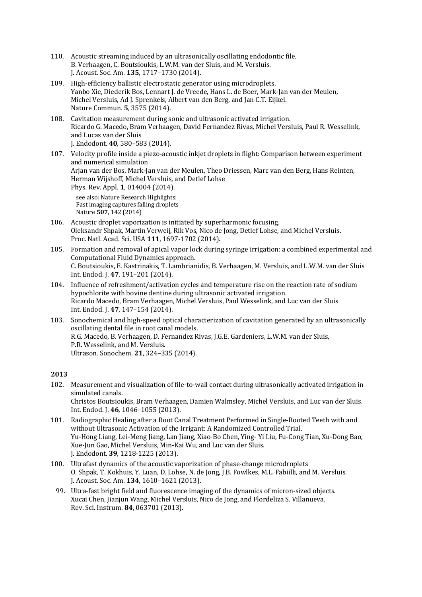- 110. Acoustic streaming induced by an ultrasonically oscillating endodontic file. B. Verhaagen, C. Boutsioukis, L.W.M. van der Sluis, and M. Versluis. J. Acoust. Soc. Am. **135**, 1717–1730 (2014).
- 109. High-efficiency ballistic electrostatic generator using microdroplets. Yanbo Xie, Diederik Bos, Lennart I. de Vreede, Hans L. de Boer, Mark-Jan van der Meulen, Michel Versluis, Ad J. Sprenkels, Albert van den Berg, and Jan C.T. Eijkel. Nature Commun. **5**, 3575 (2014).
- 108. Cavitation measurement during sonic and ultrasonic activated irrigation. Ricardo G. Macedo, Bram Verhaagen, David Fernandez Rivas, Michel Versluis, Paul R. Wesselink, and Lucas van der Sluis J. Endodont. **40**, 580–583 (2014).
- 107. Velocity profile inside a piezo-acoustic inkiet droplets in flight: Comparison between experiment and numerical simulation Arjan van der Bos, Mark-Jan van der Meulen, Theo Driessen, Marc van den Berg, Hans Reinten, Herman Wijshoff, Michel Versluis, and Detlef Lohse Phys. Rev. Appl. **1**, 014004 (2014). see also: Nature Research Highlights:

Fast imaging captures falling droplets Nature **507**, 142 (2014)

- 106. Acoustic droplet vaporization is initiated by superharmonic focusing. Oleksandr Shpak, Martin Verweij, Rik Vos, Nico de Jong, Detlef Lohse, and Michel Versluis. Proc. Natl. Acad. Sci. USA 111, 1697-1702 (2014).
- 105. Formation and removal of apical vapor lock during syringe irrigation: a combined experimental and Computational Fluid Dynamics approach. C. Boutsioukis, E. Kastrinakis, T. Lambrianidis, B. Verhaagen, M. Versluis, and L.W.M. van der Sluis Int. Endod. J. 47, 191-201 (2014).
- 104. Influence of refreshment/activation cycles and temperature rise on the reaction rate of sodium hypochlorite with bovine dentine during ultrasonic activated irrigation. Ricardo Macedo, Bram Verhaagen, Michel Versluis, Paul Wesselink, and Luc van der Sluis Int. Endod. J. 47, 147-154 (2014).
- 103. Sonochemical and high-speed optical characterization of cavitation generated by an ultrasonically oscillating dental file in root canal models. R.G. Macedo, B. Verhaagen, D. Fernandez Rivas, J.G.E. Gardeniers, L.W.M. van der Sluis, P.R. Wesselink, and M. Versluis. Ultrason. Sonochem. **21**, 324–335 (2014).

- 102. Measurement and visualization of file-to-wall contact during ultrasonically activated irrigation in simulated canals. Christos Boutsioukis, Bram Verhaagen, Damien Walmsley, Michel Versluis, and Luc van der Sluis. Int. Endod. J. 46, 1046-1055 (2013).
- 101. Radiographic Healing after a Root Canal Treatment Performed in Single-Rooted Teeth with and without Ultrasonic Activation of the Irrigant: A Randomized Controlled Trial. Yu-Hong Liang, Lei-Meng Jiang, Lan Jiang, Xiao-Bo Chen, Ying- Yi Liu, Fu-Cong Tian, Xu-Dong Bao, Xue-Jun Gao, Michel Versluis, Min-Kai Wu, and Luc van der Sluis. J. Endodont. **39**, 1218-1225 (2013).
- 100. Ultrafast dynamics of the acoustic vaporization of phase-change microdroplets O. Shpak, T. Kokhuis, Y. Luan, D. Lohse, N. de Jong, J.B. Fowlkes, M.L. Fabiilli, and M. Versluis. J. Acoust. Soc. Am. **134**, 1610–1621 (2013).
- 99. Ultra-fast bright field and fluorescence imaging of the dynamics of micron-sized objects. Xucai Chen, Jianjun Wang, Michel Versluis, Nico de Jong, and Flordeliza S. Villanueva. Rev. Sci. Instrum. **84**, 063701 (2013).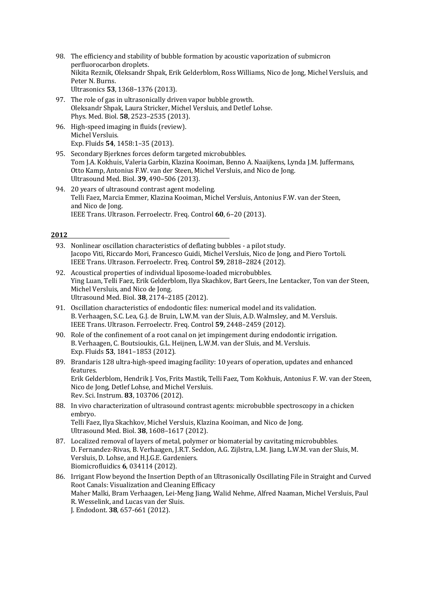- 98. The efficiency and stability of bubble formation by acoustic vaporization of submicron perfluorocarbon droplets. Nikita Reznik, Oleksandr Shpak, Erik Gelderblom, Ross Williams, Nico de Jong, Michel Versluis, and Peter N. Burns. Ultrasonics **53**, 1368–1376 (2013).
- 97. The role of gas in ultrasonically driven vapor bubble growth. Oleksandr Shpak, Laura Stricker, Michel Versluis, and Detlef Lohse. Phys. Med. Biol. **58**, 2523–2535 (2013).
- 96. High-speed imaging in fluids (review). Michel Versluis. Exp. Fluids **54**, 1458:1–35 (2013).
- 95. Secondary Bierknes forces deform targeted microbubbles. Tom J.A. Kokhuis, Valeria Garbin, Klazina Kooiman, Benno A. Naaijkens, Lynda J.M. Juffermans, Otto Kamp, Antonius F.W. van der Steen, Michel Versluis, and Nico de Jong. Ultrasound Med. Biol. **39**, 490–506 (2013).
- 94. 20 years of ultrasound contrast agent modeling. Telli Faez, Marcia Emmer, Klazina Kooiman, Michel Versluis, Antonius F.W. van der Steen, and Nico de Jong. IEEE Trans. Ultrason. Ferroelectr. Freq. Control 60, 6-20 (2013).

- 93. Nonlinear oscillation characteristics of deflating bubbles a pilot study. Jacopo Viti, Riccardo Mori, Francesco Guidi, Michel Versluis, Nico de Jong, and Piero Tortoli. IEEE Trans. Ultrason. Ferroelectr. Freq. Control 59, 2818–2824 (2012).
- 92. Acoustical properties of individual liposome-loaded microbubbles. Ying Luan, Telli Faez, Erik Gelderblom, Ilya Skachkov, Bart Geers, Ine Lentacker, Ton van der Steen, Michel Versluis, and Nico de Jong. Ultrasound Med. Biol. **38**, 2174–2185 (2012).
- 91. Oscillation characteristics of endodontic files: numerical model and its validation. B. Verhaagen, S.C. Lea, G.J. de Bruin, L.W.M. van der Sluis, A.D. Walmsley, and M. Versluis. IEEE Trans. Ultrason. Ferroelectr. Freq. Control 59, 2448-2459 (2012).
- 90. Role of the confinement of a root canal on jet impingement during endodontic irrigation. B. Verhaagen, C. Boutsioukis, G.L. Heijnen, L.W.M. van der Sluis, and M. Versluis. Exp. Fluids **53**, 1841–1853 (2012).

### 89. Brandaris 128 ultra-high-speed imaging facility: 10 years of operation, updates and enhanced features. Erik Gelderblom, Hendrik J. Vos, Frits Mastik, Telli Faez, Tom Kokhuis, Antonius F. W. van der Steen, Nico de Jong, Detlef Lohse, and Michel Versluis. Rev. Sci. Instrum. **83**, 103706 (2012).

- 88. In vivo characterization of ultrasound contrast agents: microbubble spectroscopy in a chicken embryo. Telli Faez, Ilya Skachkov, Michel Versluis, Klazina Kooiman, and Nico de Jong. Ultrasound Med. Biol. **38**, 1608–1617 (2012).
- 87. Localized removal of layers of metal, polymer or biomaterial by cavitating microbubbles. D. Fernandez-Rivas, B. Verhaagen, J.R.T. Seddon, A.G. Zijlstra, L.M. Jiang, L.W.M. van der Sluis, M. Versluis, D. Lohse, and H.J.G.E. Gardeniers. Biomicrofluidics **6**, 034114 (2012).
- 86. Irrigant Flow beyond the Insertion Depth of an Ultrasonically Oscillating File in Straight and Curved Root Canals: Visualization and Cleaning Efficacy Maher Malki, Bram Verhaagen, Lei-Meng Jiang, Walid Nehme, Alfred Naaman, Michel Versluis, Paul R. Wesselink, and Lucas van der Sluis. J. Endodont. **38**, 657-661 (2012).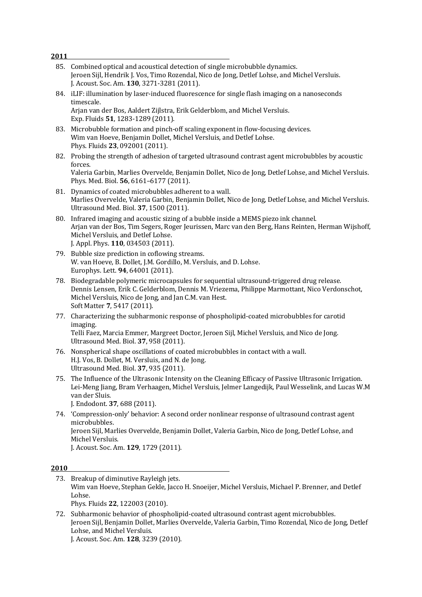Jeroen Sijl, Hendrik J. Vos, Timo Rozendal, Nico de Jong, Detlef Lohse, and Michel Versluis. J. Acoust. Soc. Am. **130**, 3271-3281 (2011). 84. iLIF: illumination by laser-induced fluorescence for single flash imaging on a nanoseconds timescale. Arjan van der Bos, Aaldert Zijlstra, Erik Gelderblom, and Michel Versluis. Exp. Fluids **51**, 1283-1289 (2011). 83. Microbubble formation and pinch-off scaling exponent in flow-focusing devices. Wim van Hoeve, Benjamin Dollet, Michel Versluis, and Detlef Lohse. Phys. Fluids **23**, 092001 (2011). 82. Probing the strength of adhesion of targeted ultrasound contrast agent microbubbles by acoustic forces. Valeria Garbin, Marlies Overvelde, Benjamin Dollet, Nico de Jong, Detlef Lohse, and Michel Versluis. Phys. Med. Biol. 56, 6161-6177 (2011). 81. Dynamics of coated microbubbles adherent to a wall. Marlies Overvelde, Valeria Garbin, Benjamin Dollet, Nico de Jong, Detlef Lohse, and Michel Versluis. Ultrasound Med. Biol. **37**, 1500 (2011). 80. Infrared imaging and acoustic sizing of a bubble inside a MEMS piezo ink channel. Arjan van der Bos, Tim Segers, Roger Jeurissen, Marc van den Berg, Hans Reinten, Herman Wijshoff, Michel Versluis, and Detlef Lohse. J. Appl. Phys. **110**, 034503 (2011). 79. Bubble size prediction in coflowing streams. W. van Hoeve, B. Dollet, J.M. Gordillo, M. Versluis, and D. Lohse. Europhys. Lett. **94**, 64001 (2011). 78. Biodegradable polymeric microcapsules for sequential ultrasound-triggered drug release. Dennis Lensen, Erik C. Gelderblom, Dennis M. Vriezema, Philippe Marmottant, Nico Verdonschot, Michel Versluis, Nico de Jong, and Jan C.M. van Hest. Soft Matter **7**, 5417 (2011). 77. Characterizing the subharmonic response of phospholipid-coated microbubbles for carotid imaging. Telli Faez, Marcia Emmer, Margreet Doctor, Jeroen Sijl, Michel Versluis, and Nico de Jong. Ultrasound Med. Biol. **37**, 958 (2011). 76. Nonspherical shape oscillations of coated microbubbles in contact with a wall. H.J. Vos, B. Dollet, M. Versluis, and N. de Jong. Ultrasound Med. Biol. **37**, 935 (2011). 75. The Influence of the Ultrasonic Intensity on the Cleaning Efficacy of Passive Ultrasonic Irrigation. Lei-Meng Jiang, Bram Verhaagen, Michel Versluis, Jelmer Langedijk, Paul Wesselink, and Lucas W.M van der Sluis. J. Endodont. **37**, 688 (2011). 74. 'Compression-only' behavior: A second order nonlinear response of ultrasound contrast agent microbubbles. Jeroen Sijl, Marlies Overvelde, Benjamin Dollet, Valeria Garbin, Nico de Jong, Detlef Lohse, and Michel Versluis. J. Acoust. Soc. Am. **129**, 1729 (2011). **2010** 73. Breakup of diminutive Rayleigh jets. Wim van Hoeve, Stephan Gekle, Jacco H. Snoeijer, Michel Versluis, Michael P. Brenner, and Detlef Lohse. Phys. Fluids **22**, 122003 (2010). 72. Subharmonic behavior of phospholipid-coated ultrasound contrast agent microbubbles. Jeroen Sijl, Benjamin Dollet, Marlies Overvelde, Valeria Garbin, Timo Rozendal, Nico de Jong, Detlef Lohse, and Michel Versluis. J. Acoust. Soc. Am. **128**, 3239 (2010).

85. Combined optical and acoustical detection of single microbubble dynamics.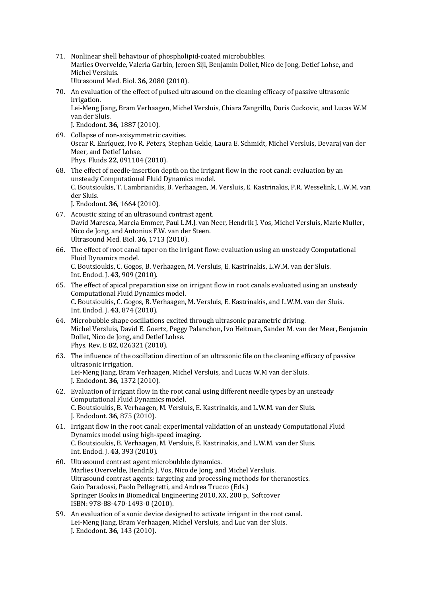- 71. Nonlinear shell behaviour of phospholipid-coated microbubbles. Marlies Overvelde, Valeria Garbin, Jeroen Sijl, Benjamin Dollet, Nico de Jong, Detlef Lohse, and Michel Versluis. Ultrasound Med. Biol. **36**, 2080 (2010).
- 70. An evaluation of the effect of pulsed ultrasound on the cleaning efficacy of passive ultrasonic irrigation. Lei-Meng Jiang, Bram Verhaagen, Michel Versluis, Chiara Zangrillo, Doris Cuckovic, and Lucas W.M van der Sluis.

J. Endodont. **36**, 1887 (2010).

- 69. Collapse of non-axisymmetric cavities. Oscar R. Enríquez, Ivo R. Peters, Stephan Gekle, Laura E. Schmidt, Michel Versluis, Devaraj van der Meer, and Detlef Lohse. Phys. Fluids **22**, 091104 (2010).
- 68. The effect of needle-insertion depth on the irrigant flow in the root canal: evaluation by an unsteady Computational Fluid Dynamics model. C. Boutsioukis, T. Lambrianidis, B. Verhaagen, M. Versluis, E. Kastrinakis, P.R. Wesselink, L.W.M. van der Sluis. J. Endodont. **36**, 1664 (2010).

- 67. Acoustic sizing of an ultrasound contrast agent. David Maresca, Marcia Emmer, Paul L.M.J. van Neer, Hendrik J. Vos, Michel Versluis, Marie Muller, Nico de Jong, and Antonius F.W. van der Steen. Ultrasound Med. Biol. **36**, 1713 (2010).
- 66. The effect of root canal taper on the irrigant flow: evaluation using an unsteady Computational Fluid Dynamics model. C. Boutsioukis, C. Gogos, B. Verhaagen, M. Versluis, E. Kastrinakis, L.W.M. van der Sluis. Int. Endod. J. 43, 909 (2010).
- 65. The effect of apical preparation size on irrigant flow in root canals evaluated using an unsteady Computational Fluid Dynamics model. C. Boutsioukis, C. Gogos, B. Verhaagen, M. Versluis, E. Kastrinakis, and L.W.M. van der Sluis. Int. Endod. J. 43, 874 (2010).
- $64.$  Microbubble shape oscillations excited through ultrasonic parametric driving. Michel Versluis, David E. Goertz, Peggy Palanchon, Ivo Heitman, Sander M. van der Meer, Benjamin Dollet, Nico de Jong, and Detlef Lohse. Phys. Rev. E **82**, 026321 (2010).
- 63. The influence of the oscillation direction of an ultrasonic file on the cleaning efficacy of passive ultrasonic irrigation. Lei-Meng Jiang, Bram Verhaagen, Michel Versluis, and Lucas W.M van der Sluis. J. Endodont. **36**, 1372 (2010).
- 62. Evaluation of irrigant flow in the root canal using different needle types by an unsteady Computational Fluid Dynamics model. C. Boutsioukis, B. Verhaagen, M. Versluis, E. Kastrinakis, and L.W.M. van der Sluis. J. Endodont. **36**, 875 (2010).
- 61. Irrigant flow in the root canal: experimental validation of an unsteady Computational Fluid Dynamics model using high-speed imaging. C. Boutsioukis, B. Verhaagen, M. Versluis, E. Kastrinakis, and L.W.M. van der Sluis. Int. Endod. J. 43, 393 (2010).
- 60. Ultrasound contrast agent microbubble dynamics. Marlies Overvelde, Hendrik J. Vos, Nico de Jong, and Michel Versluis. Ultrasound contrast agents: targeting and processing methods for theranostics. Gaio Paradossi, Paolo Pellegretti, and Andrea Trucco (Eds.) Springer Books in Biomedical Engineering 2010, XX, 200 p., Softcover ISBN: 978-88-470-1493-0 (2010).
- 59. An evaluation of a sonic device designed to activate irrigant in the root canal. Lei-Meng Jiang, Bram Verhaagen, Michel Versluis, and Luc van der Sluis. J. Endodont. **36**, 143 (2010).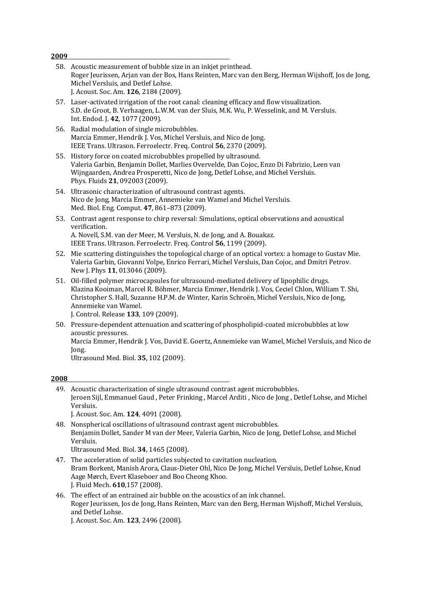| 2009 |                                                                                                                                                                                                                                                                                                                                                              |
|------|--------------------------------------------------------------------------------------------------------------------------------------------------------------------------------------------------------------------------------------------------------------------------------------------------------------------------------------------------------------|
|      | 58. Acoustic measurement of bubble size in an inkjet printhead.<br>Roger Jeurissen, Arjan van der Bos, Hans Reinten, Marc van den Berg, Herman Wijshoff, Jos de Jong,<br>Michel Versluis, and Detlef Lohse.<br>J. Acoust. Soc. Am. 126, 2184 (2009).                                                                                                         |
|      | 57. Laser-activated irrigation of the root canal: cleaning efficacy and flow visualization.<br>S.D. de Groot, B. Verhaagen, L.W.M. van der Sluis, M.K. Wu, P. Wesselink, and M. Versluis.<br>Int. Endod. J. 42, 1077 (2009).                                                                                                                                 |
|      | 56. Radial modulation of single microbubbles.<br>Marcia Emmer, Hendrik J. Vos, Michel Versluis, and Nico de Jong.<br>IEEE Trans. Ultrason. Ferroelectr. Freq. Control 56, 2370 (2009).                                                                                                                                                                       |
| 55.  | History force on coated microbubbles propelled by ultrasound.<br>Valeria Garbin, Benjamin Dollet, Marlies Overvelde, Dan Cojoc, Enzo Di Fabrizio, Leen van<br>Wijngaarden, Andrea Prosperetti, Nico de Jong, Detlef Lohse, and Michel Versluis.<br>Phys. Fluids 21, 092003 (2009).                                                                           |
|      | 54. Ultrasonic characterization of ultrasound contrast agents.<br>Nico de Jong, Marcia Emmer, Annemieke van Wamel and Michel Versluis.<br>Med. Biol. Eng. Comput. 47, 861-873 (2009).                                                                                                                                                                        |
| 53.  | Contrast agent response to chirp reversal: Simulations, optical observations and acoustical<br>verification.<br>A. Novell, S.M. van der Meer, M. Versluis, N. de Jong, and A. Bouakaz.<br>IEEE Trans. Ultrason. Ferroelectr. Freq. Control 56, 1199 (2009).                                                                                                  |
| 52.  | Mie scattering distinguishes the topological charge of an optical vortex: a homage to Gustav Mie.<br>Valeria Garbin, Giovanni Volpe, Enrico Ferrari, Michel Versluis, Dan Cojoc, and Dmitri Petrov.<br>New J. Phys 11, 013046 (2009).                                                                                                                        |
|      | 51. Oil-filled polymer microcapsules for ultrasound-mediated delivery of lipophilic drugs.<br>Klazina Kooiman, Marcel R. Böhmer, Marcia Emmer, Hendrik J. Vos, Ceciel Chlon, William T. Shi,<br>Christopher S. Hall, Suzanne H.P.M. de Winter, Karin Schroën, Michel Versluis, Nico de Jong,<br>Annemieke van Wamel.<br>J. Control. Release 133, 109 (2009). |
|      | 50. Pressure-dependent attenuation and scattering of phospholipid-coated microbubbles at low                                                                                                                                                                                                                                                                 |

acoustic pressures. Marcia Emmer, Hendrik J. Vos, David E. Goertz, Annemieke van Wamel, Michel Versluis, and Nico de Jong. Ultrasound Med. Biol. **35**, 102 (2009).

#### **2008**

| 49. Acoustic characterization of single ultrasound contrast agent microbubbles.                   |
|---------------------------------------------------------------------------------------------------|
| Jeroen Sijl, Emmanuel Gaud, Peter Frinking, Marcel Arditi, Nico de Jong, Detlef Lohse, and Michel |
| Versluis.                                                                                         |
| J. Acoust. Soc. Am. 124, 4091 (2008).                                                             |

48. Nonspherical oscillations of ultrasound contrast agent microbubbles. Benjamin Dollet, Sander M van der Meer, Valeria Garbin, Nico de Jong, Detlef Lohse, and Michel Versluis. Ultrasound Med. Biol. **34**, 1465 (2008).

- 47. The acceleration of solid particles subjected to cavitation nucleation. Bram Borkent, Manish Arora, Claus-Dieter Ohl, Nico De Jong, Michel Versluis, Detlef Lohse, Knud Aage Mørch, Evert Klaseboer and Boo Cheong Khoo. J. Fluid Mech. **610**,157 (2008).
- 46. The effect of an entrained air bubble on the acoustics of an ink channel. Roger Jeurissen, Jos de Jong, Hans Reinten, Marc van den Berg, Herman Wijshoff, Michel Versluis, and Detlef Lohse.

J. Acoust. Soc. Am. **123**, 2496 (2008).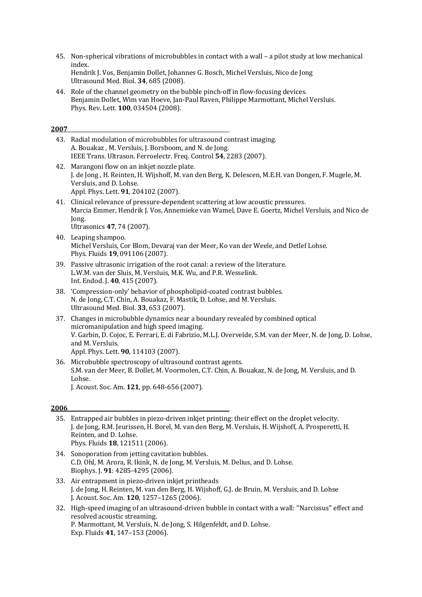- 45. Non-spherical vibrations of microbubbles in contact with a wall a pilot study at low mechanical index. Hendrik J. Vos, Benjamin Dollet, Johannes G. Bosch, Michel Versluis, Nico de Jong Ultrasound Med. Biol. **34**, 685 (2008).
- 44. Role of the channel geometry on the bubble pinch-off in flow-focusing devices. Benjamin Dollet, Wim van Hoeve, Jan-Paul Raven, Philippe Marmottant, Michel Versluis. Phys. Rev. Lett. **100**, 034504 (2008).

43. Radial modulation of microbubbles for ultrasound contrast imaging. A. Bouakaz , M. Versluis, J. Borsboom, and N. de Jong. IEEE Trans. Ultrason. Ferroelectr. Freq. Control 54, 2283 (2007). 42. Marangoni flow on an inkjet nozzle plate. J. de Jong, H. Reinten, H. Wijshoff, M. van den Berg, K. Delescen, M.E.H. van Dongen, F. Mugele, M. Versluis, and D. Lohse. Appl. Phys. Lett. **91**, 204102 (2007). 41. Clinical relevance of pressure-dependent scattering at low acoustic pressures. Marcia Emmer, Hendrik J. Vos, Annemieke van Wamel, Dave E. Goertz, Michel Versluis, and Nico de Jong. Ultrasonics **47**, 74 (2007). 40. Leaping shampoo. Michel Versluis, Cor Blom, Devaraj van der Meer, Ko van der Weele, and Detlef Lohse. Phys. Fluids **19**, 091106 (2007). 39. Passive ultrasonic irrigation of the root canal: a review of the literature. L.W.M. van der Sluis, M. Versluis, M.K. Wu, and P.R. Wesselink. Int. Endod. J. 40, 415 (2007). 38. 'Compression-only' behavior of phospholipid-coated contrast bubbles. N. de Jong, C.T. Chin, A. Bouakaz, F. Mastik, D. Lohse, and M. Versluis. Ultrasound Med. Biol. **33**, 653 (2007). 37. Changes in microbubble dynamics near a boundary revealed by combined optical micromanipulation and high speed imaging. V. Garbin, D. Cojoc, E. Ferrari, E. di Fabrizio, M.L.J. Overvelde, S.M. van der Meer, N. de Jong, D. Lohse, and M. Versluis. Appl. Phys. Lett. **90**, 114103 (2007). 36. Microbubble spectroscopy of ultrasound contrast agents. S.M. van der Meer, B. Dollet, M. Voormolen, C.T. Chin, A. Bouakaz, N. de Jong, M. Versluis, and D. Lohse. J. Acoust. Soc. Am. **121**, pp. 648-656 (2007).

- 35. Entrapped air bubbles in piezo-driven inkjet printing: their effect on the droplet velocity. J. de Jong, R.M. Jeurissen, H. Borel, M. van den Berg, M. Versluis, H. Wijshoff, A. Prosperetti, H. Reinten, and D. Lohse. Phys. Fluids **18**, 121511 (2006).
- 34. Sonoporation from jetting cavitation bubbles. C.D. Ohl, M. Arora, R. Ikink, N. de Jong, M. Versluis, M. Delius, and D. Lohse. Biophys. J. **91**: 4285-4295 (2006).
- 33. Air entrapment in piezo-driven inkjet printheads J. de Jong, H. Reinten, M. van den Berg, H. Wijshoff, G.J. de Bruin, M. Versluis, and D. Lohse J. Acoust. Soc. Am. **120**, 1257–1265 (2006).
- 32. High-speed imaging of an ultrasound-driven bubble in contact with a wall: "Narcissus" effect and resolved acoustic streaming. P. Marmottant, M. Versluis, N. de Jong, S. Hilgenfeldt, and D. Lohse. Exp. Fluids **41**, 147–153 (2006).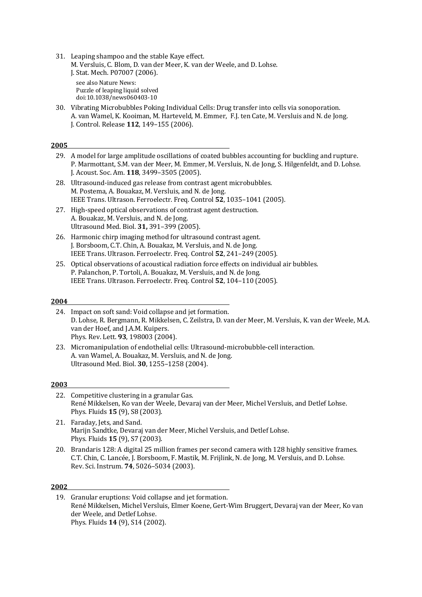31. Leaping shampoo and the stable Kaye effect. M. Versluis, C. Blom, D. van der Meer, K. van der Weele, and D. Lohse. J. Stat. Mech. P07007 (2006). see also Nature News:

Puzzle of leaping liquid solved doi:10.1038/news060403-10

30. Vibrating Microbubbles Poking Individual Cells: Drug transfer into cells via sonoporation. A. van Wamel, K. Kooiman, M. Harteveld, M. Emmer, F.J. ten Cate, M. Versluis and N. de Jong. J. Control. Release **112**, 149–155 (2006).

#### **2005**

- 29. A model for large amplitude oscillations of coated bubbles accounting for buckling and rupture. P. Marmottant, S.M. van der Meer, M. Emmer, M. Versluis, N. de Jong, S. Hilgenfeldt, and D. Lohse. J. Acoust. Soc. Am. **118**, 3499–3505 (2005).
- 28. Ultrasound-induced gas release from contrast agent microbubbles. M. Postema, A. Bouakaz, M. Versluis, and N. de Jong. IEEE Trans. Ultrason. Ferroelectr. Freq. Control 52, 1035-1041 (2005).
- 27. High-speed optical observations of contrast agent destruction. A. Bouakaz, M. Versluis, and N. de Jong. Ultrasound Med. Biol. **31,** 391–399 (2005).
- 26. Harmonic chirp imaging method for ultrasound contrast agent. J. Borsboom, C.T. Chin, A. Bouakaz, M. Versluis, and N. de Jong. IEEE Trans. Ultrason. Ferroelectr. Freq. Control 52, 241-249 (2005).
- 25. Optical observations of acoustical radiation force effects on individual air bubbles. P. Palanchon, P. Tortoli, A. Bouakaz, M. Versluis, and N. de Jong. IEEE Trans. Ultrason. Ferroelectr. Freq. Control 52, 104-110 (2005).

#### **2004**

24. Impact on soft sand: Void collapse and jet formation. D. Lohse, R. Bergmann, R. Mikkelsen, C. Zeilstra, D. van der Meer, M. Versluis, K. van der Weele, M.A. van der Hoef, and J.A.M. Kuipers. Phys. Rev. Lett. **93**, 198003 (2004).

### **2003**

- 22. Competitive clustering in a granular Gas. René Mikkelsen, Ko van der Weele, Devaraj van der Meer, Michel Versluis, and Detlef Lohse. Phys. Fluids **15** (9), S8 (2003).
- 21. Faraday, Jets, and Sand. Marijn Sandtke, Devaraj van der Meer, Michel Versluis, and Detlef Lohse. Phys. Fluids **15** (9), S7 (2003).
- 20. Brandaris 128: A digital 25 million frames per second camera with 128 highly sensitive frames. C.T. Chin, C. Lancée, J. Borsboom, F. Mastik, M. Frijlink, N. de Jong, M. Versluis, and D. Lohse. Rev. Sci. Instrum. **74**, 5026–5034 (2003).

<sup>23.</sup> Micromanipulation of endothelial cells: Ultrasound-microbubble-cell interaction. A. van Wamel, A. Bouakaz, M. Versluis, and N. de Jong. Ultrasound Med. Biol. **30**, 1255–1258 (2004).

<sup>19.</sup> Granular eruptions: Void collapse and jet formation. René Mikkelsen, Michel Versluis, Elmer Koene, Gert-Wim Bruggert, Devaraj van der Meer, Ko van der Weele, and Detlef Lohse. Phys. Fluids **14** (9), S14 (2002).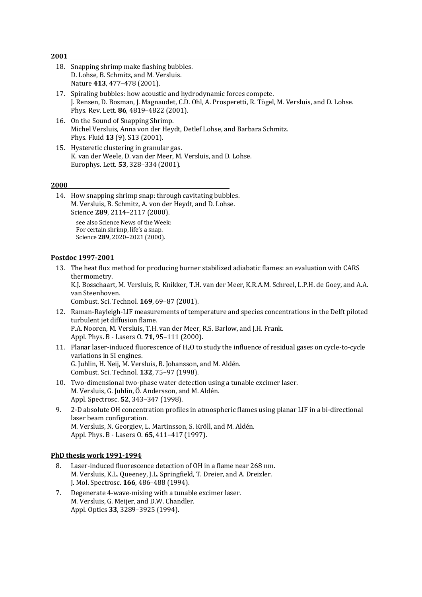| 18. Snapping shrimp make flashing bubbles. |
|--------------------------------------------|
| D. Lohse, B. Schmitz, and M. Versluis.     |
| Nature 413, 477-478 (2001).                |

- 17. Spiraling bubbles: how acoustic and hydrodynamic forces compete. J. Rensen, D. Bosman, J. Magnaudet, C.D. Ohl, A. Prosperetti, R. Tögel, M. Versluis, and D. Lohse. Phys. Rev. Lett. **86**, 4819-4822 (2001).
- 16. On the Sound of Snapping Shrimp. Michel Versluis, Anna von der Heydt, Detlef Lohse, and Barbara Schmitz. Phys. Fluid **13** (9), S13 (2001).
- 15. Hysteretic clustering in granular gas. K. van der Weele, D. van der Meer, M. Versluis, and D. Lohse. Europhys. Lett. **53**, 328–334 (2001).

14. How snapping shrimp snap: through cavitating bubbles. M. Versluis, B. Schmitz, A. von der Heydt, and D. Lohse. Science 289, 2114-2117 (2000). see also Science News of the Week:

For certain shrimp, life's a snap. Science **289**, 2020–2021 (2000).

#### **Postdoc 1997-2001**

13. The heat flux method for producing burner stabilized adiabatic flames: an evaluation with CARS thermometry.

K.J. Bosschaart, M. Versluis, R. Knikker, T.H. van der Meer, K.R.A.M. Schreel, L.P.H. de Goey, and A.A. van Steenhoven.

Combust. Sci. Technol. **169**, 69–87 (2001). 

- 12. Raman-Rayleigh-LIF measurements of temperature and species concentrations in the Delft piloted turbulent jet diffusion flame. P.A. Nooren, M. Versluis, T.H. van der Meer, R.S. Barlow, and J.H. Frank. Appl. Phys. B - Lasers O. **71**, 95-111 (2000).
- 11. Planar laser-induced fluorescence of H<sub>2</sub>O to study the influence of residual gases on cycle-to-cycle variations in SI engines. G. Juhlin, H. Neij, M. Versluis, B. Johansson, and M. Aldén. Combust. Sci. Technol. **132**, 75–97 (1998).
- 10. Two-dimensional two-phase water detection using a tunable excimer laser. M. Versluis, G. Juhlin, Ö. Andersson, and M. Aldén. Appl. Spectrosc. **52**, 343-347 (1998).
- 9. 2-D absolute OH concentration profiles in atmospheric flames using planar LIF in a bi-directional laser beam configuration. M. Versluis, N. Georgiev, L. Martinsson, S. Kröll, and M. Aldén. Appl. Phys. B - Lasers O. 65, 411-417 (1997).

### **PhD thesis work 1991-1994**

- 8. Laser-induced fluorescence detection of OH in a flame near 268 nm. M. Versluis, K.L. Queeney, J.L. Springfield, T. Dreier, and A. Dreizler. J. Mol. Spectrosc. **166**, 486-488 (1994).
- 7. Degenerate 4-wave-mixing with a tunable excimer laser. M. Versluis, G. Meijer, and D.W. Chandler. Appl. Optics **33**, 3289–3925 (1994).